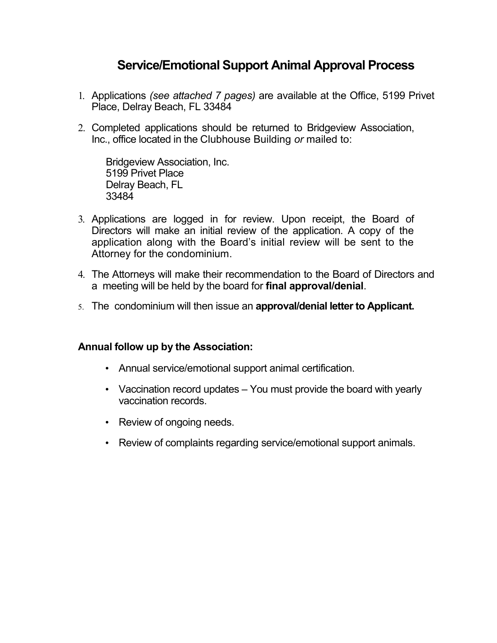# Service/Emotional Support Animal Approval Process

- 1. Applications (see attached 7 pages) are available at the Office, 5199 Privet Place, Delray Beach, FL 33484
- 2. Completed applications should be returned to Bridgeview Association, Inc., office located in the Clubhouse Building or mailed to:

Bridgeview Association, Inc. 5199 Privet Place Delray Beach, FL 33484

- 3. Applications are logged in for review. Upon receipt, the Board of Directors will make an initial review of the application. A copy of the application along with the Board's initial review will be sent to the Attorney for the condominium.
- 4. The Attorneys will make their recommendation to the Board of Directors and a meeting will be held by the board for final approval/denial.
- 5. The condominium will then issue an approval/denial letter to Applicant.

### Annual follow up by the Association:

- Annual service/emotional support animal certification.
- Vaccination record updates You must provide the board with yearly vaccination records.
- Review of ongoing needs.
- Review of complaints regarding service/emotional support animals.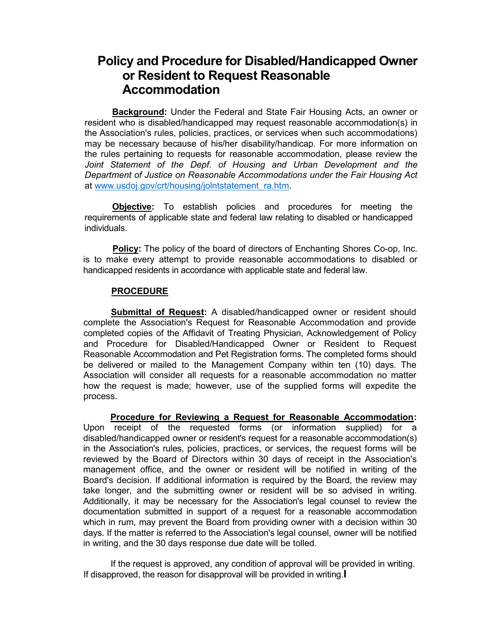## Policy and Procedure for Disabled/Handicapped Owner or Resident to Request Reasonable Accommodation

Background: Under the Federal and State Fair Housing Acts, an owner or resident who is disabled/handicapped may request reasonable accommodation(s) in the Association's rules, policies, practices, or services when such accommodations) may be necessary because of his/her disability/handicap. For more information on the rules pertaining to requests for reasonable accommodation, please review the Joint Statement of the Depf. of Housing and Urban Development and the Department of Justice on Reasonable Accommodations under the Fair Housing Act at www.usdoj.gov/crt/housing/jolntstatement\_ra.htm.

**Objective:** To establish policies and procedures for meeting the requirements of applicable state and federal law relating to disabled or handicapped individuals.

**Policy:** The policy of the board of directors of Enchanting Shores Co-op, Inc. is to make every attempt to provide reasonable accommodations to disabled or handicapped residents in accordance with applicable state and federal law.

#### PROCEDURE

Submittal of Request: A disabled/handicapped owner or resident should complete the Association's Request for Reasonable Accommodation and provide completed copies of the Affidavit of Treating Physician, Acknowledgement of Policy and Procedure for Disabled/Handicapped Owner or Resident to Request Reasonable Accommodation and Pet Registration forms. The completed forms should be delivered or mailed to the Management Company within ten (10) days. The Association will consider all requests for a reasonable accommodation no matter how the request is made; however, use of the supplied forms will expedite the process.

Procedure for Reviewing a Request for Reasonable Accommodation: Upon receipt of the requested forms (or information supplied) for a disabled/handicapped owner or resident's request for a reasonable accommodation(s) in the Association's rules, policies, practices, or services, the request forms will be reviewed by the Board of Directors within 30 days of receipt in the Association's management office, and the owner or resident will be notified in writing of the Board's decision. If additional information is required by the Board, the review may take longer, and the submitting owner or resident will be so advised in writing. Additionally, it may be necessary for the Association's legal counsel to review the documentation submitted in support of a request for a reasonable accommodation which in rum, may prevent the Board from providing owner with a decision within 30 days. If the matter is referred to the Association's legal counsel, owner will be notified in writing, and the 30 days response due date will be tolled.

If the request is approved, any condition of approval will be provided in writing. If disapproved, the reason for disapproval will be provided in writing.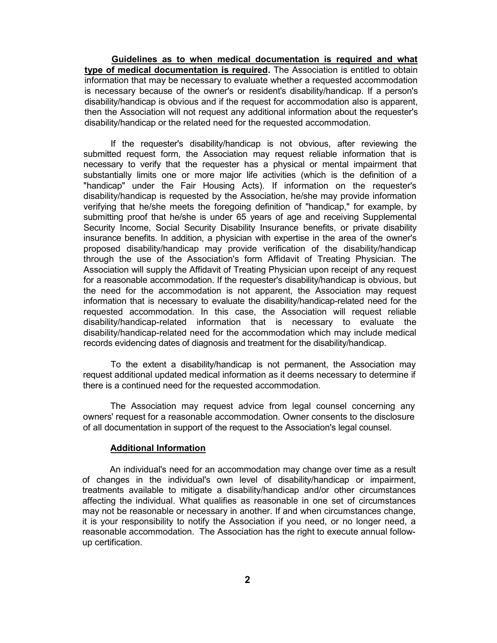Guidelines as to when medical documentation is required and what type of medical documentation is required. The Association is entitled to obtain information that may be necessary to evaluate whether a requested accommodation is necessary because of the owner's or resident's disability/handicap. If a person's disability/handicap is obvious and if the request for accommodation also is apparent, then the Association will not request any additional information about the requester's disability/handicap or the related need for the requested accommodation.

If the requester's disability/handicap is not obvious, after reviewing the submitted request form, the Association may request reliable information that is necessary to verify that the requester has a physical or mental impairment that substantially limits one or more major life activities (which is the definition of a "handicap" under the Fair Housing Acts). If information on the requester's disability/handicap is requested by the Association, he/she may provide information verifying that he/she meets the foregoing definition of "handicap," for example, by submitting proof that he/she is under 65 years of age and receiving Supplemental Security Income, Social Security Disability Insurance benefits, or private disability insurance benefits. In addition, a physician with expertise in the area of the owner's proposed disability/handicap may provide verification of the disability/handicap through the use of the Association's form Affidavit of Treating Physician. The Association will supply the Affidavit of Treating Physician upon receipt of any request for a reasonable accommodation. If the requester's disability/handicap is obvious, but the need for the accommodation is not apparent, the Association may request information that is necessary to evaluate the disability/handicap-related need for the requested accommodation. In this case, the Association will request reliable disability/handicap-related information that is necessary to evaluate the disability/handicap-related need for the accommodation which may include medical records evidencing dates of diagnosis and treatment for the disability/handicap.

To the extent a disability/handicap is not permanent, the Association may request additional updated medical information as it deems necessary to determine if there is a continued need for the requested accommodation.

The Association may request advice from legal counsel concerning any owners' request for a reasonable accommodation. Owner consents to the disclosure of all documentation in support of the request to the Association's legal counsel.

#### Additional Information

An individual's need for an accommodation may change over time as a result of changes in the individual's own level of disability/handicap or impairment, treatments available to mitigate a disability/handicap and/or other circumstances affecting the individual. What qualifies as reasonable in one set of circumstances may not be reasonable or necessary in another. If and when circumstances change, it is your responsibility to notify the Association if you need, or no longer need, a reasonable accommodation. The Association has the right to execute annual followup certification.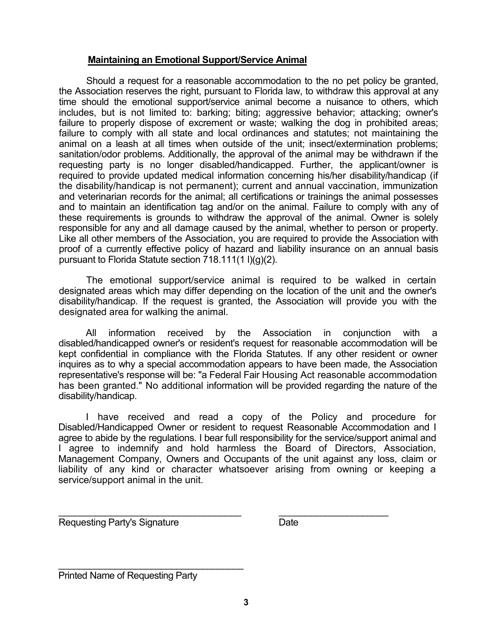### Maintaining an Emotional Support/Service Animal

Should a request for a reasonable accommodation to the no pet policy be granted, the Association reserves the right, pursuant to Florida law, to withdraw this approval at any time should the emotional support/service animal become a nuisance to others, which includes, but is not limited to: barking; biting; aggressive behavior; attacking; owner's failure to properly dispose of excrement or waste; walking the dog in prohibited areas; failure to comply with all state and local ordinances and statutes; not maintaining the animal on a leash at all times when outside of the unit; insect/extermination problems; sanitation/odor problems. Additionally, the approval of the animal may be withdrawn if the requesting party is no longer disabled/handicapped. Further, the applicant/owner is required to provide updated medical information concerning his/her disability/handicap (if the disability/handicap is not permanent); current and annual vaccination, immunization and veterinarian records for the animal; all certifications or trainings the animal possesses and to maintain an identification tag and/or on the animal. Failure to comply with any of these requirements is grounds to withdraw the approval of the animal. Owner is solely responsible for any and all damage caused by the animal, whether to person or property. Like all other members of the Association, you are required to provide the Association with proof of a currently effective policy of hazard and liability insurance on an annual basis pursuant to Florida Statute section 718.111(1 l)(g)(2).

The emotional support/service animal is required to be walked in certain designated areas which may differ depending on the location of the unit and the owner's disability/handicap. If the request is granted, the Association will provide you with the designated area for walking the animal.

All information received by the Association in conjunction with a disabled/handicapped owner's or resident's request for reasonable accommodation will be kept confidential in compliance with the Florida Statutes. If any other resident or owner inquires as to why a special accommodation appears to have been made, the Association representative's response will be: "a Federal Fair Housing Act reasonable accommodation has been granted." No additional information will be provided regarding the nature of the disability/handicap.

I have received and read a copy of the Policy and procedure for Disabled/Handicapped Owner or resident to request Reasonable Accommodation and I agree to abide by the regulations. I bear full responsibility for the service/support animal and I agree to indemnify and hold harmless the Board of Directors, Association, Management Company, Owners and Occupants of the unit against any loss, claim or liability of any kind or character whatsoever arising from owning or keeping a service/support animal in the unit.

\_\_\_\_\_\_\_\_\_\_\_\_\_\_\_\_\_\_\_\_\_\_\_\_\_\_\_\_\_\_\_\_\_\_\_ \_\_\_\_\_\_\_\_\_\_\_\_\_\_\_\_\_\_\_\_\_

Requesting Party's Signature **Date** Date

Printed Name of Requesting Party

\_\_\_\_\_\_\_\_\_\_\_\_\_\_\_\_\_\_\_\_\_\_\_\_\_\_\_\_\_\_\_\_\_\_\_\_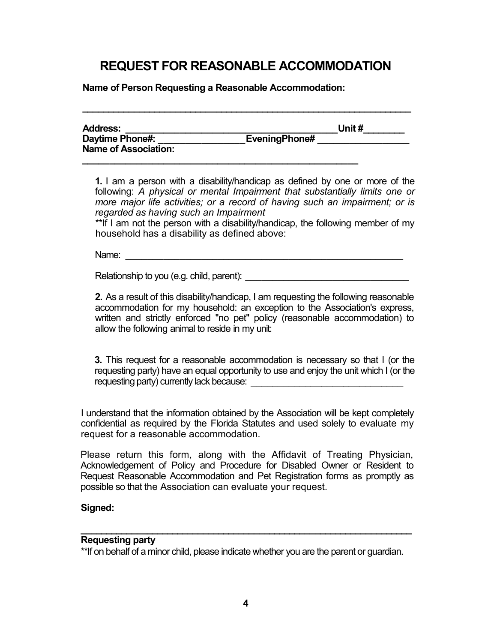# REQUEST FOR REASONABLE ACCOMMODATION

Name of Person Requesting a Reasonable Accommodation:

| <b>Address:</b>                                |               | Unit# |
|------------------------------------------------|---------------|-------|
| Daytime Phone#:<br><b>Name of Association:</b> | EveningPhone# |       |
|                                                |               |       |

\_\_\_\_\_\_\_\_\_\_\_\_\_\_\_\_\_\_\_\_\_\_\_\_\_\_\_\_\_\_\_\_\_\_\_\_\_\_\_\_\_\_\_\_\_\_\_\_\_\_\_\_\_\_\_\_\_\_\_\_\_\_\_\_

1. I am a person with a disability/handicap as defined by one or more of the following: A physical or mental Impairment that substantially limits one or more major life activities; or a record of having such an impairment; or is regarded as having such an Impairment

\*\*If I am not the person with a disability/handicap, the following member of my household has a disability as defined above:

Name: \_\_\_\_\_\_\_\_\_\_\_\_\_\_\_\_\_\_\_\_\_\_\_\_\_\_\_\_\_\_\_\_\_\_\_\_\_\_\_\_\_\_\_\_\_\_\_\_\_\_\_

Relationship to you (e.g. child, parent):  $\blacksquare$ 

2. As a result of this disability/handicap, I am requesting the following reasonable accommodation for my household: an exception to the Association's express, written and strictly enforced "no pet" policy (reasonable accommodation) to allow the following animal to reside in my unit:

3. This request for a reasonable accommodation is necessary so that I (or the requesting party) have an equal opportunity to use and enjoy the unit which I (or the requesting party) currently lack because:

I understand that the information obtained by the Association will be kept completely confidential as required by the Florida Statutes and used solely to evaluate my request for a reasonable accommodation.

Please return this form, along with the Affidavit of Treating Physician, Acknowledgement of Policy and Procedure for Disabled Owner or Resident to Request Reasonable Accommodation and Pet Registration forms as promptly as possible so that the Association can evaluate your request.

#### Signed:

#### Requesting party

\*\*If on behalf of a minor child, please indicate whether you are the parent or guardian.

\_\_\_\_\_\_\_\_\_\_\_\_\_\_\_\_\_\_\_\_\_\_\_\_\_\_\_\_\_\_\_\_\_\_\_\_\_\_\_\_\_\_\_\_\_\_\_\_\_\_\_\_\_\_\_\_\_\_\_\_\_\_\_\_\_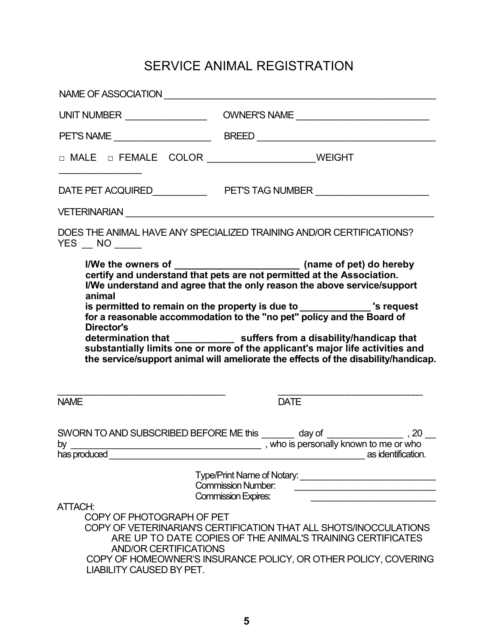# SERVICE ANIMAL REGISTRATION

| NAME OF ASSOCIATION                                                                                     |                                                                                                                                                                                                                                                                                                                                                                                                                                                                                                                                                                                                                                           |
|---------------------------------------------------------------------------------------------------------|-------------------------------------------------------------------------------------------------------------------------------------------------------------------------------------------------------------------------------------------------------------------------------------------------------------------------------------------------------------------------------------------------------------------------------------------------------------------------------------------------------------------------------------------------------------------------------------------------------------------------------------------|
|                                                                                                         |                                                                                                                                                                                                                                                                                                                                                                                                                                                                                                                                                                                                                                           |
|                                                                                                         |                                                                                                                                                                                                                                                                                                                                                                                                                                                                                                                                                                                                                                           |
|                                                                                                         |                                                                                                                                                                                                                                                                                                                                                                                                                                                                                                                                                                                                                                           |
|                                                                                                         |                                                                                                                                                                                                                                                                                                                                                                                                                                                                                                                                                                                                                                           |
|                                                                                                         |                                                                                                                                                                                                                                                                                                                                                                                                                                                                                                                                                                                                                                           |
| $YES$ $NO$ $10$                                                                                         | DOES THE ANIMAL HAVE ANY SPECIALIZED TRAINING AND/OR CERTIFICATIONS?                                                                                                                                                                                                                                                                                                                                                                                                                                                                                                                                                                      |
| animal<br>Director's                                                                                    | I/We the owners of _______________________________ (name of pet) do hereby certify and understand that pets are not permitted at the Association.<br>I/We understand and agree that the only reason the above service/support<br>is permitted to remain on the property is due to ______________ 's request<br>for a reasonable accommodation to the "no pet" policy and the Board of<br>determination that ______________ suffers from a disability/handicap that<br>substantially limits one or more of the applicant's major life activities and<br>the service/support animal will ameliorate the effects of the disability/handicap. |
| <b>NAME</b>                                                                                             | <b>DATE</b>                                                                                                                                                                                                                                                                                                                                                                                                                                                                                                                                                                                                                               |
|                                                                                                         | SWORN TO AND SUBSCRIBED BEFORE ME this day of the control of the or who by the produced state and produced as produced and produced and produced and produced and produced as identification.                                                                                                                                                                                                                                                                                                                                                                                                                                             |
|                                                                                                         | <b>Commission Number:</b><br><b>Commission Expires:</b>                                                                                                                                                                                                                                                                                                                                                                                                                                                                                                                                                                                   |
| ATTACH:<br>COPY OF PHOTOGRAPH OF PET<br><b>AND/OR CERTIFICATIONS</b><br><b>LIABILITY CAUSED BY PET.</b> | COPY OF VETERINARIAN'S CERTIFICATION THAT ALL SHOTS/INOCCULATIONS<br>ARE UP TO DATE COPIES OF THE ANIMAL'S TRAINING CERTIFICATES<br>COPY OF HOMEOWNER'S INSURANCE POLICY, OR OTHER POLICY, COVERING                                                                                                                                                                                                                                                                                                                                                                                                                                       |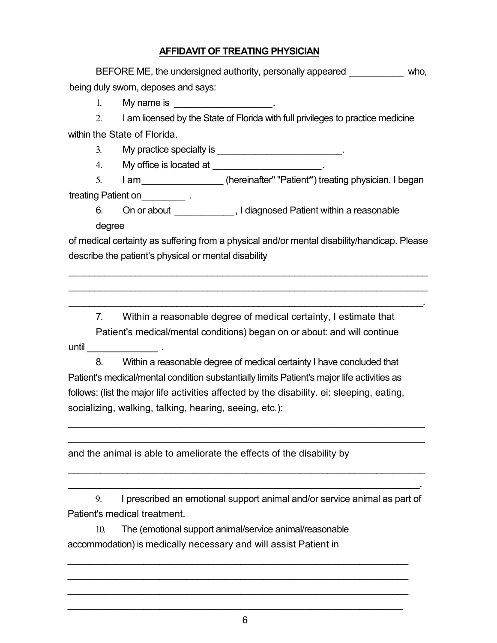### AFFIDAVIT OF TREATING PHYSICIAN

BEFORE ME, the undersigned authority, personally appeared who, being duly sworn, deposes and says:

1. My name is \_\_\_\_\_\_\_\_\_\_\_\_\_\_\_\_\_\_\_.

2. I am licensed by the State of Florida with full privileges to practice medicine within the State of Florida.

3. My practice specialty is \_\_\_\_\_\_\_\_\_\_\_\_\_\_\_\_\_\_\_\_\_\_\_\_\_\_.

4. My office is located at \_\_\_\_\_\_\_\_\_\_\_\_\_\_\_\_\_\_\_\_.

5. I am  $\blacksquare$  (hereinafter" "Patient\*') treating physician. I began treating Patient on Theorem 2014

6. On or about **constructs**, I diagnosed Patient within a reasonable degree

of medical certainty as suffering from a physical and/or mental disability/handicap. Please describe the patient's physical or mental disability

\_\_\_\_\_\_\_\_\_\_\_\_\_\_\_\_\_\_\_\_\_\_\_\_\_\_\_\_\_\_\_\_\_\_\_\_\_\_\_\_\_\_\_\_\_\_\_\_\_\_\_\_\_\_\_\_\_\_\_\_\_\_\_\_\_\_\_\_\_\_ \_\_\_\_\_\_\_\_\_\_\_\_\_\_\_\_\_\_\_\_\_\_\_\_\_\_\_\_\_\_\_\_\_\_\_\_\_\_\_\_\_\_\_\_\_\_\_\_\_\_\_\_\_\_\_\_\_\_\_\_\_\_\_\_\_\_\_\_\_\_ \_\_\_\_\_\_\_\_\_\_\_\_\_\_\_\_\_\_\_\_\_\_\_\_\_\_\_\_\_\_\_\_\_\_\_\_\_\_\_\_\_\_\_\_\_\_\_\_\_\_\_\_\_\_\_\_\_\_\_\_\_\_\_\_\_\_\_\_\_.

7. Within a reasonable degree of medical certainty, I estimate that Patient's medical/mental conditions) began on or about: and will continue until  $\qquad \qquad \ldots$ 

8. Within a reasonable degree of medical certainty I have concluded that Patient's medical/mental condition substantially limits Patient's major life activities as follows: (list the major life activities affected by the disability. ei: sleeping, eating, socializing, walking, talking, hearing, seeing, etc.):

and the animal is able to ameliorate the effects of the disability by

9. I prescribed an emotional support animal and/or service animal as part of Patient's medical treatment.

\_\_\_\_\_\_\_\_\_\_\_\_\_\_\_\_\_\_\_\_\_\_\_\_\_\_\_\_\_\_\_\_\_\_\_\_\_\_\_\_\_\_\_\_\_\_\_\_\_\_\_\_\_\_\_\_\_\_\_\_\_\_\_  $\mathcal{L}_\text{max}$  , and the contribution of the contribution of the contribution of the contribution of the contribution of the contribution of the contribution of the contribution of the contribution of the contribution of t  $\mathcal{L}_\text{max}$  , and the contribution of the contribution of the contribution of the contribution of the contribution of the contribution of the contribution of the contribution of the contribution of the contribution of t \_\_\_\_\_\_\_\_\_\_\_\_\_\_\_\_\_\_\_\_\_\_\_\_\_\_\_\_\_\_\_\_\_\_\_\_\_\_\_\_\_\_\_\_\_\_\_\_\_\_\_\_\_\_\_\_\_\_\_\_\_\_

 $\overline{\phantom{a}}$  , and the contribution of the contribution of the contribution of the contribution of the contribution of the contribution of the contribution of the contribution of the contribution of the contribution of the  $\mathcal{L}_\mathcal{L} = \{ \mathcal{L}_\mathcal{L} = \{ \mathcal{L}_\mathcal{L} = \{ \mathcal{L}_\mathcal{L} = \{ \mathcal{L}_\mathcal{L} = \{ \mathcal{L}_\mathcal{L} = \{ \mathcal{L}_\mathcal{L} = \{ \mathcal{L}_\mathcal{L} = \{ \mathcal{L}_\mathcal{L} = \{ \mathcal{L}_\mathcal{L} = \{ \mathcal{L}_\mathcal{L} = \{ \mathcal{L}_\mathcal{L} = \{ \mathcal{L}_\mathcal{L} = \{ \mathcal{L}_\mathcal{L} = \{ \mathcal{L}_\mathcal{$ 

 $\mathcal{L}_\mathcal{L} = \{ \mathcal{L}_\mathcal{L} = \{ \mathcal{L}_\mathcal{L} = \{ \mathcal{L}_\mathcal{L} = \{ \mathcal{L}_\mathcal{L} = \{ \mathcal{L}_\mathcal{L} = \{ \mathcal{L}_\mathcal{L} = \{ \mathcal{L}_\mathcal{L} = \{ \mathcal{L}_\mathcal{L} = \{ \mathcal{L}_\mathcal{L} = \{ \mathcal{L}_\mathcal{L} = \{ \mathcal{L}_\mathcal{L} = \{ \mathcal{L}_\mathcal{L} = \{ \mathcal{L}_\mathcal{L} = \{ \mathcal{L}_\mathcal{$  $\mathcal{L}_\mathcal{L} = \mathcal{L}_\mathcal{L} = \mathcal{L}_\mathcal{L} = \mathcal{L}_\mathcal{L} = \mathcal{L}_\mathcal{L} = \mathcal{L}_\mathcal{L} = \mathcal{L}_\mathcal{L} = \mathcal{L}_\mathcal{L} = \mathcal{L}_\mathcal{L} = \mathcal{L}_\mathcal{L} = \mathcal{L}_\mathcal{L} = \mathcal{L}_\mathcal{L} = \mathcal{L}_\mathcal{L} = \mathcal{L}_\mathcal{L} = \mathcal{L}_\mathcal{L} = \mathcal{L}_\mathcal{L} = \mathcal{L}_\mathcal{L}$ 

10. The (emotional support animal/service animal/reasonable accommodation) is medically necessary and will assist Patient in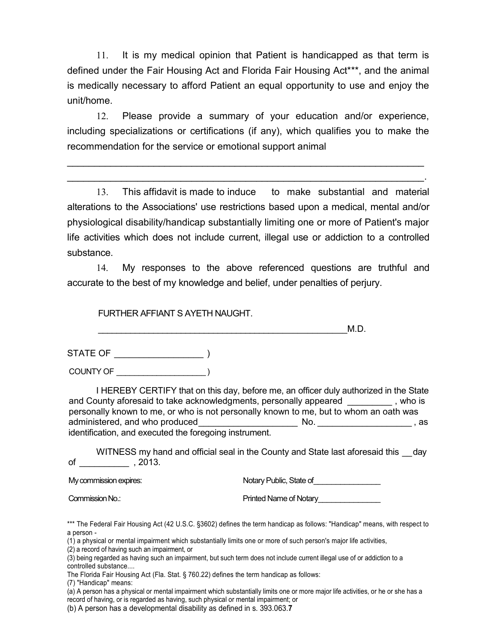11. It is my medical opinion that Patient is handicapped as that term is defined under the Fair Housing Act and Florida Fair Housing Act\*\*\*, and the animal is medically necessary to afford Patient an equal opportunity to use and enjoy the unit/home.

12. Please provide a summary of your education and/or experience, including specializations or certifications (if any), which qualifies you to make the recommendation for the service or emotional support animal

\_\_\_\_\_\_\_\_\_\_\_\_\_\_\_\_\_\_\_\_\_\_\_\_\_\_\_\_\_\_\_\_\_\_\_\_\_\_\_\_\_\_\_\_\_\_\_\_\_\_\_\_\_\_\_\_\_\_\_\_\_\_\_\_\_\_  $\overline{\phantom{a}}$  , and the contribution of the contribution of the contribution of the contribution of the contribution of the contribution of the contribution of the contribution of the contribution of the contribution of the

13. This affidavit is made to induce to make substantial and material alterations to the Associations' use restrictions based upon a medical, mental and/or physiological disability/handicap substantially limiting one or more of Patient's major life activities which does not include current, illegal use or addiction to a controlled substance.

14. My responses to the above referenced questions are truthful and accurate to the best of my knowledge and belief, under penalties of perjury.

FURTHER AFFIANT S AYETH NAUGHT.

 $M.D.$ STATE OF \_\_\_\_\_\_\_\_\_\_\_\_\_\_\_\_\_\_ ) COUNTY OF \_\_\_\_\_\_\_\_\_\_\_\_\_\_\_\_\_\_\_\_ )

I HEREBY CERTIFY that on this day, before me, an officer duly authorized in the State and County aforesaid to take acknowledgments, personally appeared \_\_\_\_\_\_\_\_\_ , who is personally known to me, or who is not personally known to me, but to whom an oath was administered, and who produced example and the No. As as as a set of  $\sim$   $\sim$   $\sim$  , as identification, and executed the foregoing instrument.

WITNESS my hand and official seal in the County and State last aforesaid this day of \_\_\_\_\_\_\_\_\_\_ , 2013.

My commission expires: Notary Public, State of

Commission No.: example of Notary Printed Name of Notary

\*\*\* The Federal Fair Housing Act (42 U.S.C. §3602) defines the term handicap as follows: "Handicap" means, with respect to a person -

(1) a physical or mental impairment which substantially limits one or more of such person's major life activities,

The Florida Fair Housing Act (Fla. Stat. § 760.22) defines the term handicap as follows:

(7) "Handicap" means:

 $\alpha$ ) A person has a physical or mental impairment which substantially limits one or more major life activities, or he or she has a record of having, or is regarded as having, such physical or mental impairment; or

(b) A person has a developmental disability as defined in s. 393.063.7

<sup>(2)</sup> a record of having such an impairment, or

<sup>(3)</sup> being regarded as having such an impairment, but such term does not include current illegal use of or addiction to a controlled substance....